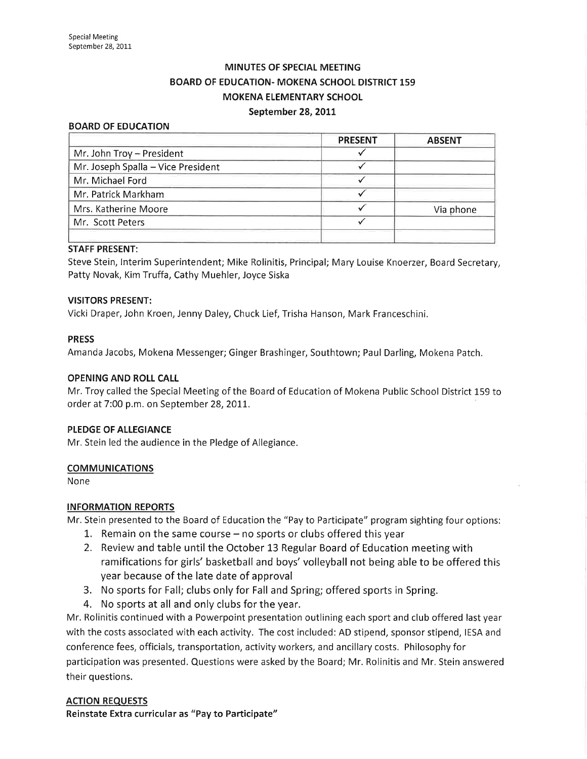# MINUTES OF SPECIAL MEETING BOARD OF EDUCATION- MOKENA SCHOOL DISTRICT 159 MOKENA ELEMENTARY SCHOOL September 28, 2011

#### BOARD OF EDUCATION

|                                    | <b>PRESENT</b> | <b>ABSENT</b> |
|------------------------------------|----------------|---------------|
| Mr. John Troy - President          |                |               |
| Mr. Joseph Spalla - Vice President |                |               |
| Mr. Michael Ford                   |                |               |
| Mr. Patrick Markham                |                |               |
| Mrs. Katherine Moore               |                | Via phone     |
| Mr. Scott Peters                   |                |               |
|                                    |                |               |

### STAFF PRESENT:

Steve Stein, Interim Superintendent; Mike Rolinitis, Principal; Mary Louise Knoerzer, Board Secretary, Patty Novak, Kim Truffa, Cathy Muehler, Joyce Siska

# VISITORS PRESENT:

Vicki Draper, John Kroen, Jenny Daley, Chuck Lief, Trisha Hanson, Mark Franceschini.

### PRESS

Amanda Jacobs, Mokena Messenger; Ginger Brashinger, Southtown; Paul Darling, Mokena Patch.

#### OPENING AND ROLL CALL

Mr. Troy called the Special Meeting of the Board of Education of Mokena Public School District 159 to order at 7:00 p.m. on September 28,20It.

#### PLEDGE OF ALLEGIANCE

Mr. Stein led the audience in the Pledge of Allegiance.

#### **COMMUNICATIONS**

None

# INFORMATION REPORTS

Mr. Stein presented to the Board of Education the "Pay to Participate" program sighting four options:

- 1. Remain on the same course  $-$  no sports or clubs offered this year
- 2. Review and table until the October L3 Regular Board of Education meeting with ramifications for girls' basketball and boys' volleyball not being able to be offered this year because of the late date of approval
- 3. No sports for Fall; clubs only for Fall and Spring; offered sports in Spring.
- 4. No sports at all and only clubs for the year.

Mr. Rolinitis continued with a Powerpoint presentation outlining each sport and club offered last year with the costs associated with each activity. The cost included: AD stipend, sponsor stipend, IESA and conference fees, officials, transportation, activity workers, and ancillary costs. Philosophy for participation was presented. Questions were asked by the Board; Mr. Rolinitis and Mr. Stein answered their questions.

# ACTION REQUESTS

Reinstate Extra curricular as "Pay to Participate"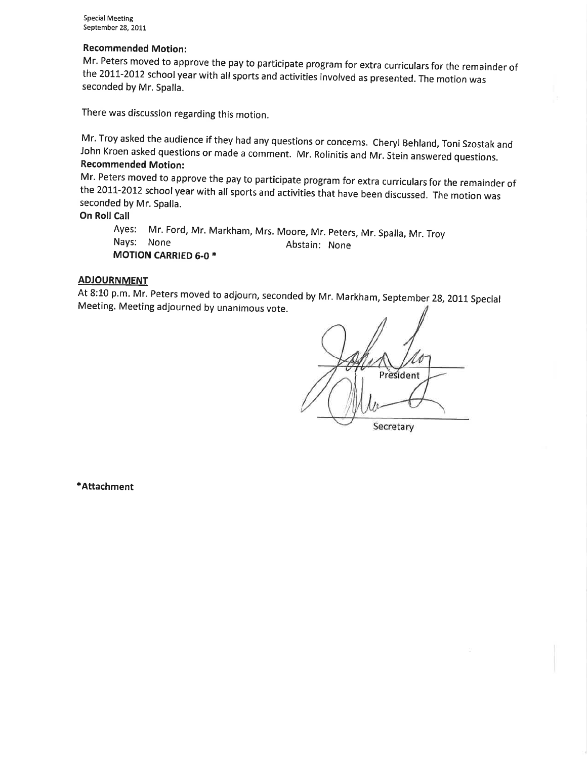Recommended Motion:<br>Mr. Peters moved to approve the pay to participate program for extra curriculars for the remainder of the 2011-2012 school year with all sports and activities involved as presented. The motion was seconded by Mr, Spalla.

There was discussion regarding this motion.

Mr. Troy asked the audience if they had any questions or concerns. Cheryl Behland, Toni Szostak and<br>John Kroen asked questions or made a comment. Mr. Rolinitis and Mr. Stein answered questions.

Recommended Motion:<br>Mr. Peters moved to approve the pay to participate program for extra curriculars for the remainder of the 2011-2012 school year with all sports and activities that have been discussed. The motion was seconded by Mr. Spalla.

# On Roll Call

Ayes: Mr. Ford, Mr. Markham, Mrs. Moore, Mr. Peters, Mr. Spalla, Mr. Troy<br>Nays: None Abstain: None MOTION CARRIED 6.0 \*

# **ADJOURNMENT**

At 8:10 p.m. Mr. Peters moved to adjourn, seconded by Mr. Markham, September 28, 2011 Special Meeting. Meeting adjourned by unanimous vote.

President Secretary

\*Attachment